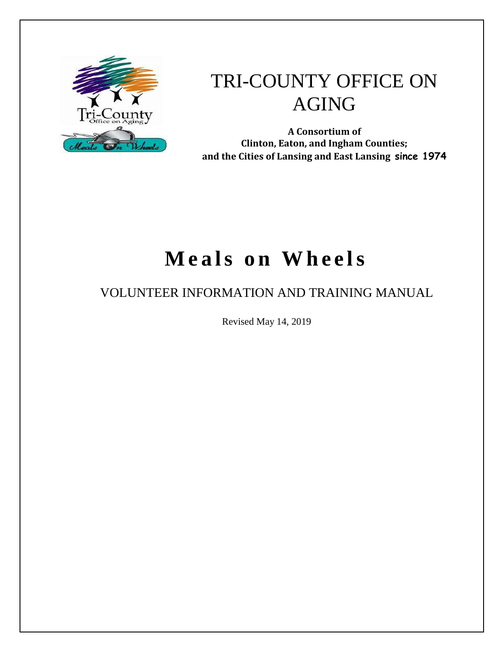

# TRI-COUNTY OFFICE ON AGING

**A Consortium of Clinton, Eaton, and Ingham Counties; and the Cities of Lansing and East Lansing since 1974**

# **Meals on Wheels**

# VOLUNTEER INFORMATION AND TRAINING MANUAL

Revised May 14, 2019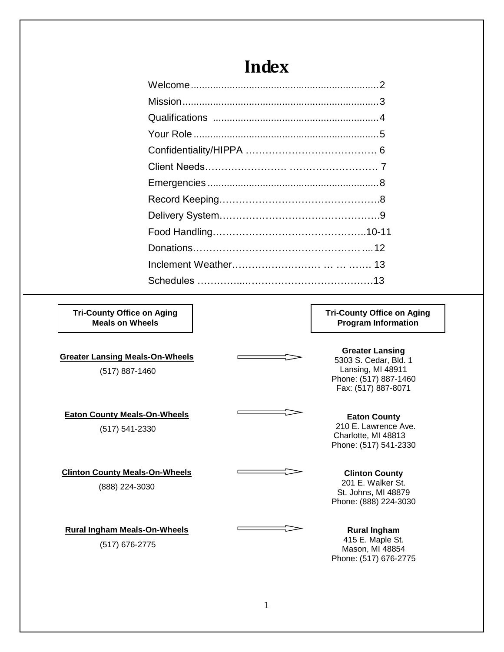| <b>Example 2</b> Index                                                                                                                                                                                                               |  |
|--------------------------------------------------------------------------------------------------------------------------------------------------------------------------------------------------------------------------------------|--|
|                                                                                                                                                                                                                                      |  |
|                                                                                                                                                                                                                                      |  |
|                                                                                                                                                                                                                                      |  |
|                                                                                                                                                                                                                                      |  |
|                                                                                                                                                                                                                                      |  |
|                                                                                                                                                                                                                                      |  |
|                                                                                                                                                                                                                                      |  |
| $\blacksquare$ . The contract of the contract of the contract of the contract of the contract of the contract of the contract of the contract of the contract of the contract of the contract of the contract of the contract of the |  |

### Emergencies ..............................................................8 Record Keeping………………………………………….8 Delivery System………………………………………….9 Food Handling………………………………………..10-11 Donations……………………………………………....12 Inclement Weather……………………… … … ……. 13 Schedules …………...…………………………………13

**Tri-County Office on Aging Meals on Wheels**

**Greater Lansing Meals-On-Wheels** 

(517) 887-1460

**Eaton County Meals-On-Wheels** (517) 541-2330

**Clinton County Meals-On-Wheels**

#### (888) 224-3030

**Rural Ingham Meals-On-Wheels** (517) 676-2775

#### **Tri-County Office on Aging Program Information**

**Greater Lansing** 5303 S. Cedar, Bld. 1 Lansing, MI 48911 Phone: (517) 887-1460 Fax: (517) 887-8071

#### **Eaton County** 210 E. Lawrence Ave. Charlotte, MI 48813 Phone: (517) 541-2330

#### **Clinton County**

201 E. Walker St. St. Johns, MI 48879 Phone: (888) 224-3030

#### **Rural Ingham**

415 E. Maple St. Mason, MI 48854 Phone: (517) 676-2775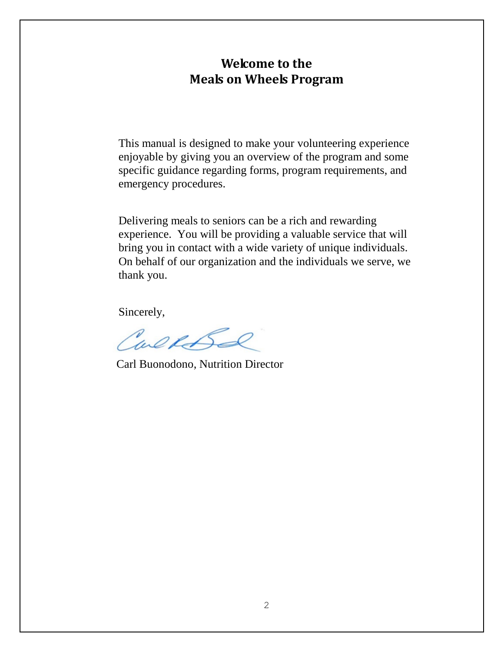#### **Welcome to the Meals on Wheels Program**

This manual is designed to make your volunteering experience enjoyable by giving you an overview of the program and some specific guidance regarding forms, program requirements, and emergency procedures.

Delivering meals to seniors can be a rich and rewarding experience. You will be providing a valuable service that will bring you in contact with a wide variety of unique individuals. On behalf of our organization and the individuals we serve, we thank you.

Sincerely,

Carehord

Carl Buonodono, Nutrition Director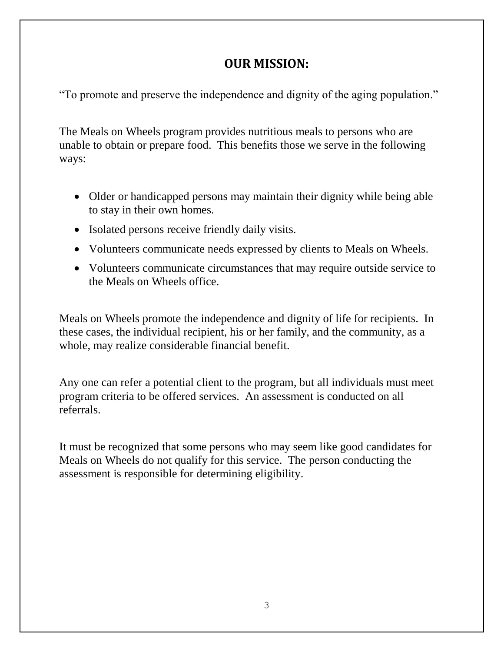#### **OUR MISSION:**

"To promote and preserve the independence and dignity of the aging population."

The Meals on Wheels program provides nutritious meals to persons who are unable to obtain or prepare food. This benefits those we serve in the following ways:

- Older or handicapped persons may maintain their dignity while being able to stay in their own homes.
- Isolated persons receive friendly daily visits.
- Volunteers communicate needs expressed by clients to Meals on Wheels.
- Volunteers communicate circumstances that may require outside service to the Meals on Wheels office.

Meals on Wheels promote the independence and dignity of life for recipients. In these cases, the individual recipient, his or her family, and the community, as a whole, may realize considerable financial benefit.

Any one can refer a potential client to the program, but all individuals must meet program criteria to be offered services. An assessment is conducted on all referrals.

It must be recognized that some persons who may seem like good candidates for Meals on Wheels do not qualify for this service. The person conducting the assessment is responsible for determining eligibility.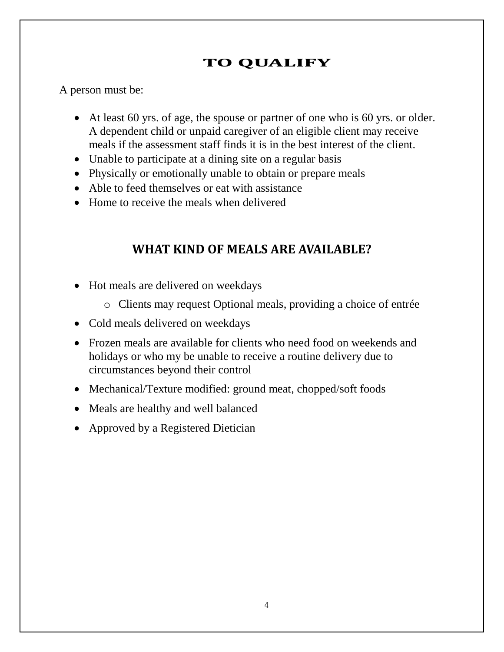### **TO QUALIFY**

A person must be:

- At least 60 yrs. of age, the spouse or partner of one who is 60 yrs. or older. A dependent child or unpaid caregiver of an eligible client may receive meals if the assessment staff finds it is in the best interest of the client.
- Unable to participate at a dining site on a regular basis
- Physically or emotionally unable to obtain or prepare meals
- Able to feed themselves or eat with assistance
- Home to receive the meals when delivered

### **WHAT KIND OF MEALS ARE AVAILABLE?**

- Hot meals are delivered on weekdays
	- o Clients may request Optional meals, providing a choice of entrée
- Cold meals delivered on weekdays
- Frozen meals are available for clients who need food on weekends and holidays or who my be unable to receive a routine delivery due to circumstances beyond their control
- Mechanical/Texture modified: ground meat, chopped/soft foods
- Meals are healthy and well balanced
- Approved by a Registered Dietician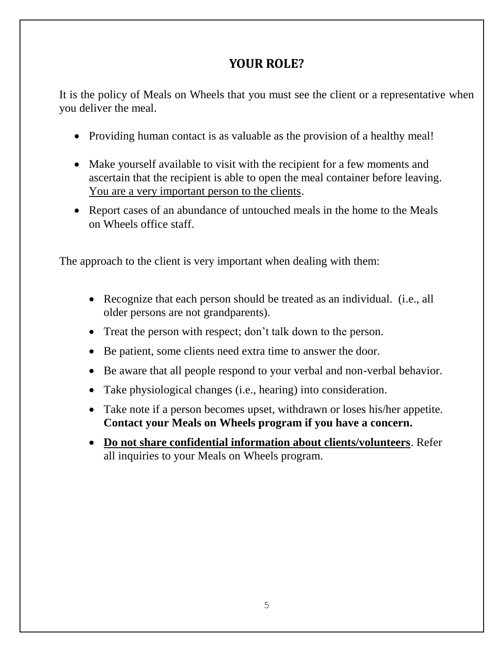### **YOUR ROLE?**

It is the policy of Meals on Wheels that you must see the client or a representative when you deliver the meal.

- Providing human contact is as valuable as the provision of a healthy meal!
- Make yourself available to visit with the recipient for a few moments and ascertain that the recipient is able to open the meal container before leaving. You are a very important person to the clients.
- Report cases of an abundance of untouched meals in the home to the Meals on Wheels office staff.

The approach to the client is very important when dealing with them:

- Recognize that each person should be treated as an individual. (i.e., all older persons are not grandparents).
- Treat the person with respect; don't talk down to the person.
- Be patient, some clients need extra time to answer the door.
- Be aware that all people respond to your verbal and non-verbal behavior.
- Take physiological changes (i.e., hearing) into consideration.
- Take note if a person becomes upset, withdrawn or loses his/her appetite. **Contact your Meals on Wheels program if you have a concern.**
- **Do not share confidential information about clients/volunteers**. Refer all inquiries to your Meals on Wheels program.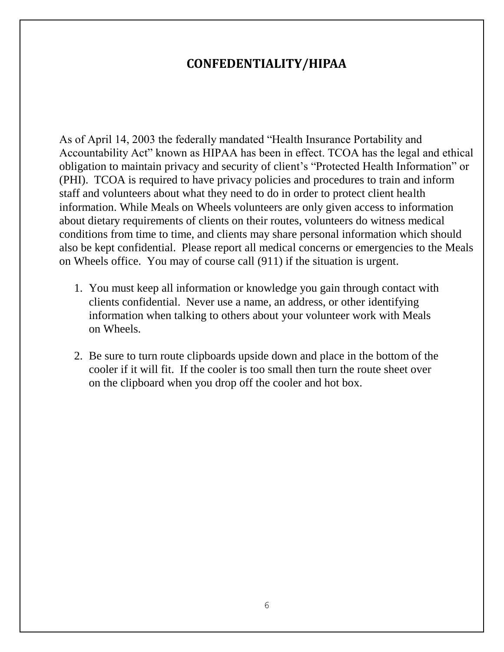#### **CONFEDENTIALITY/HIPAA**

As of April 14, 2003 the federally mandated "Health Insurance Portability and Accountability Act" known as HIPAA has been in effect. TCOA has the legal and ethical obligation to maintain privacy and security of client's "Protected Health Information" or (PHI). TCOA is required to have privacy policies and procedures to train and inform staff and volunteers about what they need to do in order to protect client health information. While Meals on Wheels volunteers are only given access to information about dietary requirements of clients on their routes, volunteers do witness medical conditions from time to time, and clients may share personal information which should also be kept confidential. Please report all medical concerns or emergencies to the Meals on Wheels office. You may of course call (911) if the situation is urgent.

- 1. You must keep all information or knowledge you gain through contact with clients confidential. Never use a name, an address, or other identifying information when talking to others about your volunteer work with Meals on Wheels.
- 2. Be sure to turn route clipboards upside down and place in the bottom of the cooler if it will fit. If the cooler is too small then turn the route sheet over on the clipboard when you drop off the cooler and hot box.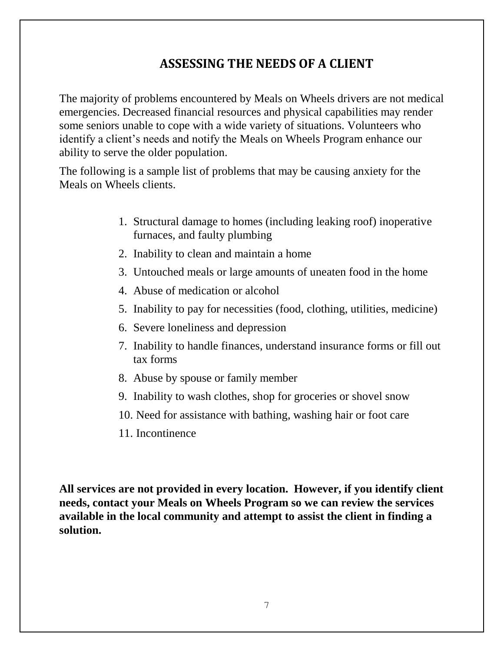### **ASSESSING THE NEEDS OF A CLIENT**

The majority of problems encountered by Meals on Wheels drivers are not medical emergencies. Decreased financial resources and physical capabilities may render some seniors unable to cope with a wide variety of situations. Volunteers who identify a client's needs and notify the Meals on Wheels Program enhance our ability to serve the older population.

The following is a sample list of problems that may be causing anxiety for the Meals on Wheels clients.

- 1. Structural damage to homes (including leaking roof) inoperative furnaces, and faulty plumbing
- 2. Inability to clean and maintain a home
- 3. Untouched meals or large amounts of uneaten food in the home
- 4. Abuse of medication or alcohol
- 5. Inability to pay for necessities (food, clothing, utilities, medicine)
- 6. Severe loneliness and depression
- 7. Inability to handle finances, understand insurance forms or fill out tax forms
- 8. Abuse by spouse or family member
- 9. Inability to wash clothes, shop for groceries or shovel snow
- 10. Need for assistance with bathing, washing hair or foot care
- 11. Incontinence

**All services are not provided in every location. However, if you identify client needs, contact your Meals on Wheels Program so we can review the services available in the local community and attempt to assist the client in finding a solution.**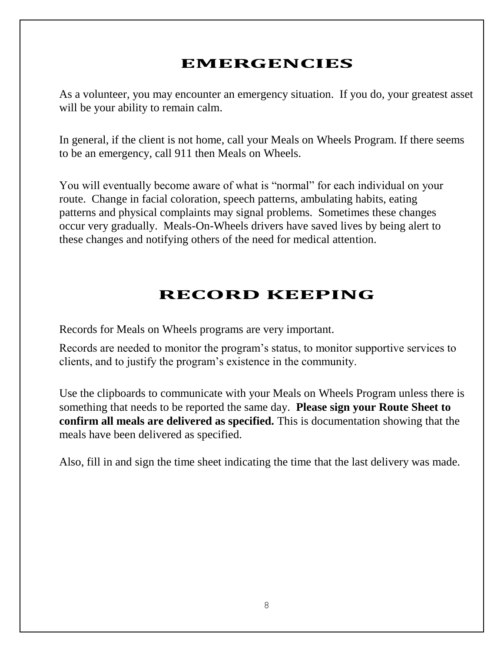# **EMERGENCIES**

As a volunteer, you may encounter an emergency situation. If you do, your greatest asset will be your ability to remain calm.

In general, if the client is not home, call your Meals on Wheels Program. If there seems to be an emergency, call 911 then Meals on Wheels.

You will eventually become aware of what is "normal" for each individual on your route. Change in facial coloration, speech patterns, ambulating habits, eating patterns and physical complaints may signal problems. Sometimes these changes occur very gradually. Meals-On-Wheels drivers have saved lives by being alert to these changes and notifying others of the need for medical attention.

# **RECORD KEEPING**

Records for Meals on Wheels programs are very important.

Records are needed to monitor the program's status, to monitor supportive services to clients, and to justify the program's existence in the community.

Use the clipboards to communicate with your Meals on Wheels Program unless there is something that needs to be reported the same day. **Please sign your Route Sheet to confirm all meals are delivered as specified.** This is documentation showing that the meals have been delivered as specified.

Also, fill in and sign the time sheet indicating the time that the last delivery was made.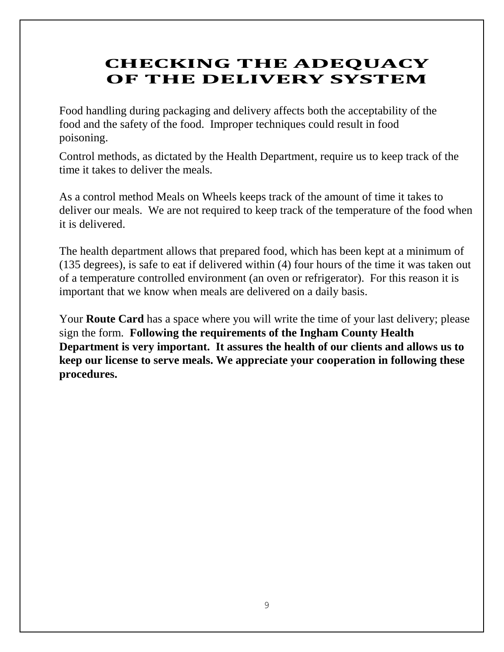# **CHECKING THE ADEQUACY OF THE DELIVERY SYSTEM**

Food handling during packaging and delivery affects both the acceptability of the food and the safety of the food. Improper techniques could result in food poisoning.

Control methods, as dictated by the Health Department, require us to keep track of the time it takes to deliver the meals.

As a control method Meals on Wheels keeps track of the amount of time it takes to deliver our meals. We are not required to keep track of the temperature of the food when it is delivered.

The health department allows that prepared food, which has been kept at a minimum of (135 degrees), is safe to eat if delivered within (4) four hours of the time it was taken out of a temperature controlled environment (an oven or refrigerator). For this reason it is important that we know when meals are delivered on a daily basis.

Your **Route Card** has a space where you will write the time of your last delivery; please sign the form. **Following the requirements of the Ingham County Health Department is very important. It assures the health of our clients and allows us to keep our license to serve meals. We appreciate your cooperation in following these procedures.**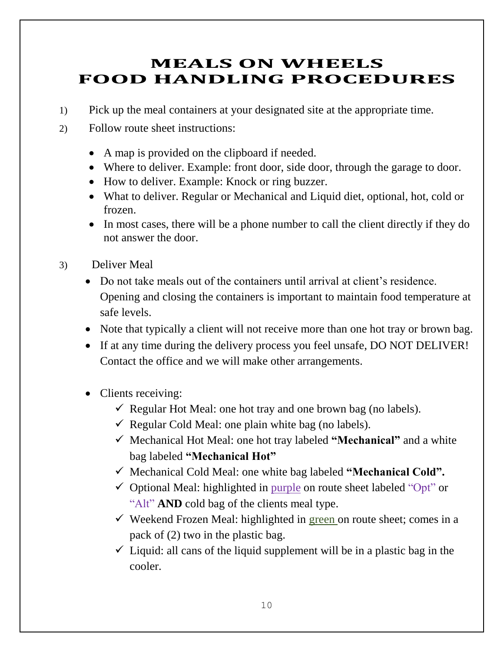# **MEALS ON WHEELS FOOD HANDLING PROCEDURES**

- 1) Pick up the meal containers at your designated site at the appropriate time.
- 2) Follow route sheet instructions:
	- A map is provided on the clipboard if needed.
	- Where to deliver. Example: front door, side door, through the garage to door.
	- How to deliver. Example: Knock or ring buzzer.
	- What to deliver. Regular or Mechanical and Liquid diet, optional, hot, cold or frozen.
	- In most cases, there will be a phone number to call the client directly if they do not answer the door.
- 3) Deliver Meal
	- Do not take meals out of the containers until arrival at client's residence. Opening and closing the containers is important to maintain food temperature at safe levels.
	- Note that typically a client will not receive more than one hot tray or brown bag.
	- If at any time during the delivery process you feel unsafe, DO NOT DELIVER! Contact the office and we will make other arrangements.
	- Clients receiving:
		- $\checkmark$  Regular Hot Meal: one hot tray and one brown bag (no labels).
		- $\checkmark$  Regular Cold Meal: one plain white bag (no labels).
		- ✓ Mechanical Hot Meal: one hot tray labeled **"Mechanical"** and a white bag labeled **"Mechanical Hot"**
		- ✓ Mechanical Cold Meal: one white bag labeled **"Mechanical Cold".**
		- $\checkmark$  Optional Meal: highlighted in purple on route sheet labeled "Opt" or "Alt" **AND** cold bag of the clients meal type.
		- $\checkmark$  Weekend Frozen Meal: highlighted in green on route sheet; comes in a pack of (2) two in the plastic bag.
		- $\checkmark$  Liquid: all cans of the liquid supplement will be in a plastic bag in the cooler.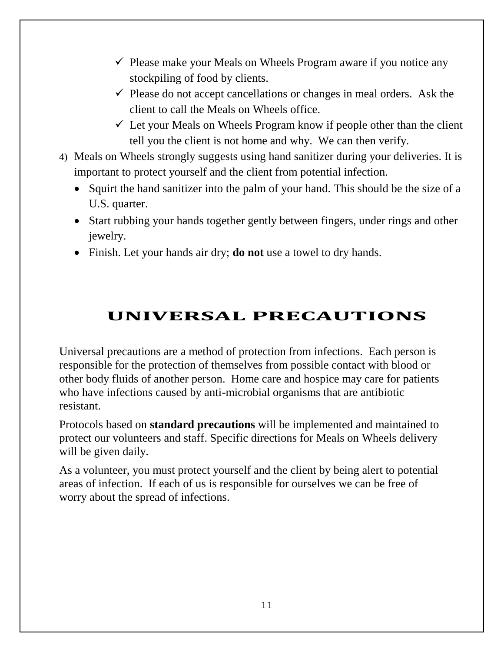- $\checkmark$  Please make your Meals on Wheels Program aware if you notice any stockpiling of food by clients.
- $\checkmark$  Please do not accept cancellations or changes in meal orders. Ask the client to call the Meals on Wheels office.
- $\checkmark$  Let your Meals on Wheels Program know if people other than the client tell you the client is not home and why. We can then verify.
- 4) Meals on Wheels strongly suggests using hand sanitizer during your deliveries. It is important to protect yourself and the client from potential infection.
	- Squirt the hand sanitizer into the palm of your hand. This should be the size of a U.S. quarter.
	- Start rubbing your hands together gently between fingers, under rings and other jewelry.
	- Finish. Let your hands air dry; **do not** use a towel to dry hands.

# **UNIVERSAL PRECAUTIONS**

Universal precautions are a method of protection from infections. Each person is responsible for the protection of themselves from possible contact with blood or other body fluids of another person. Home care and hospice may care for patients who have infections caused by anti-microbial organisms that are antibiotic resistant.

Protocols based on **standard precautions** will be implemented and maintained to protect our volunteers and staff. Specific directions for Meals on Wheels delivery will be given daily.

As a volunteer, you must protect yourself and the client by being alert to potential areas of infection. If each of us is responsible for ourselves we can be free of worry about the spread of infections.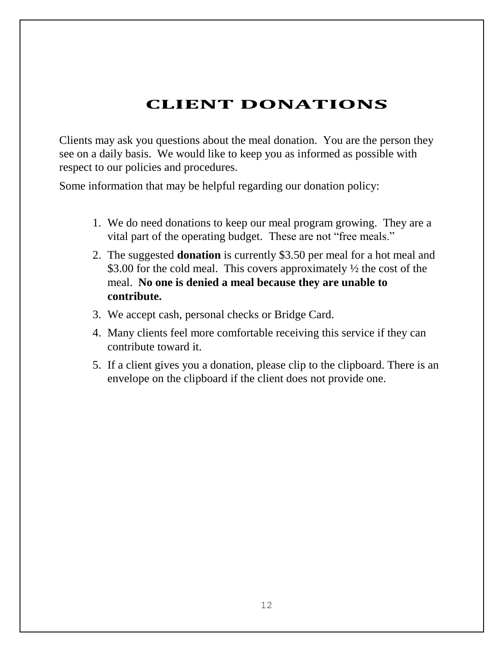# **CLIENT DONATIONS**

Clients may ask you questions about the meal donation. You are the person they see on a daily basis. We would like to keep you as informed as possible with respect to our policies and procedures.

Some information that may be helpful regarding our donation policy:

- 1. We do need donations to keep our meal program growing. They are a vital part of the operating budget. These are not "free meals."
- 2. The suggested **donation** is currently \$3.50 per meal for a hot meal and \$3.00 for the cold meal. This covers approximately  $\frac{1}{2}$  the cost of the meal. **No one is denied a meal because they are unable to contribute.**
- 3. We accept cash, personal checks or Bridge Card.
- 4. Many clients feel more comfortable receiving this service if they can contribute toward it.
- 5. If a client gives you a donation, please clip to the clipboard. There is an envelope on the clipboard if the client does not provide one.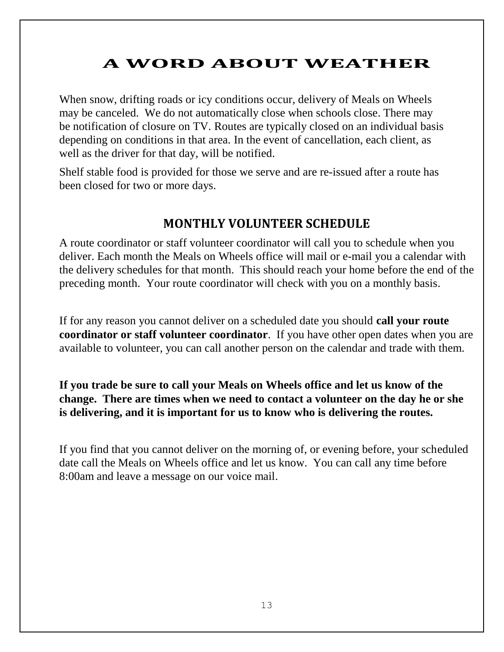# **A WORD ABOUT WEATHER**

When snow, drifting roads or icy conditions occur, delivery of Meals on Wheels may be canceled. We do not automatically close when schools close. There may be notification of closure on TV. Routes are typically closed on an individual basis depending on conditions in that area. In the event of cancellation, each client, as well as the driver for that day, will be notified.

Shelf stable food is provided for those we serve and are re-issued after a route has been closed for two or more days.

#### **MONTHLY VOLUNTEER SCHEDULE**

A route coordinator or staff volunteer coordinator will call you to schedule when you deliver. Each month the Meals on Wheels office will mail or e-mail you a calendar with the delivery schedules for that month. This should reach your home before the end of the preceding month. Your route coordinator will check with you on a monthly basis.

If for any reason you cannot deliver on a scheduled date you should **call your route coordinator or staff volunteer coordinator**. If you have other open dates when you are available to volunteer, you can call another person on the calendar and trade with them.

**If you trade be sure to call your Meals on Wheels office and let us know of the change. There are times when we need to contact a volunteer on the day he or she is delivering, and it is important for us to know who is delivering the routes.**

If you find that you cannot deliver on the morning of, or evening before, your scheduled date call the Meals on Wheels office and let us know. You can call any time before 8:00am and leave a message on our voice mail.